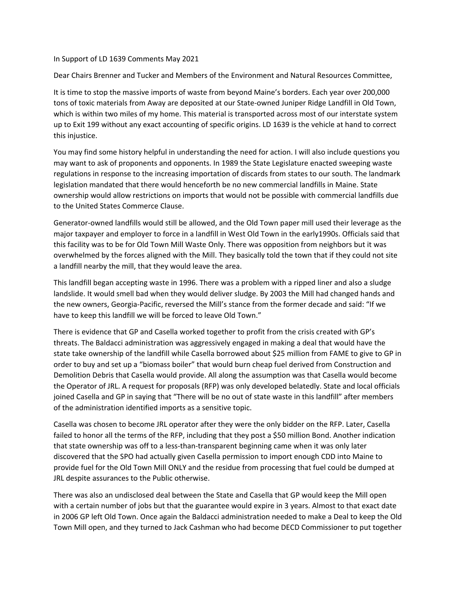## In Support of LD 1639 Comments May 2021

Dear Chairs Brenner and Tucker and Members of the Environment and Natural Resources Committee,

It is time to stop the massive imports of waste from beyond Maine's borders. Each year over 200,000 tons of toxic materials from Away are deposited at our State-owned Juniper Ridge Landfill in Old Town, which is within two miles of my home. This material is transported across most of our interstate system up to Exit 199 without any exact accounting of specific origins. LD 1639 is the vehicle at hand to correct this injustice.

You may find some history helpful in understanding the need for action. I will also include questions you may want to ask of proponents and opponents. In 1989 the State Legislature enacted sweeping waste regulations in response to the increasing importation of discards from states to our south. The landmark legislation mandated that there would henceforth be no new commercial landfills in Maine. State ownership would allow restrictions on imports that would not be possible with commercial landfills due to the United States Commerce Clause.

Generator-owned landfills would still be allowed, and the Old Town paper mill used their leverage as the major taxpayer and employer to force in a landfill in West Old Town in the early1990s. Officials said that this facility was to be for Old Town Mill Waste Only. There was opposition from neighbors but it was overwhelmed by the forces aligned with the Mill. They basically told the town that if they could not site a landfill nearby the mill, that they would leave the area.

This landfill began accepting waste in 1996. There was a problem with a ripped liner and also a sludge landslide. It would smell bad when they would deliver sludge. By 2003 the Mill had changed hands and the new owners, Georgia-Pacific, reversed the Mill's stance from the former decade and said: "If we have to keep this landfill we will be forced to leave Old Town."

There is evidence that GP and Casella worked together to profit from the crisis created with GP's threats. The Baldacci administration was aggressively engaged in making a deal that would have the state take ownership of the landfill while Casella borrowed about \$25 million from FAME to give to GP in order to buy and set up a "biomass boiler" that would burn cheap fuel derived from Construction and Demolition Debris that Casella would provide. All along the assumption was that Casella would become the Operator of JRL. A request for proposals (RFP) was only developed belatedly. State and local officials joined Casella and GP in saying that "There will be no out of state waste in this landfill" after members of the administration identified imports as a sensitive topic.

Casella was chosen to become JRL operator after they were the only bidder on the RFP. Later, Casella failed to honor all the terms of the RFP, including that they post a \$50 million Bond. Another indication that state ownership was off to a less-than-transparent beginning came when it was only later discovered that the SPO had actually given Casella permission to import enough CDD into Maine to provide fuel for the Old Town Mill ONLY and the residue from processing that fuel could be dumped at JRL despite assurances to the Public otherwise.

There was also an undisclosed deal between the State and Casella that GP would keep the Mill open with a certain number of jobs but that the guarantee would expire in 3 years. Almost to that exact date in 2006 GP left Old Town. Once again the Baldacci administration needed to make a Deal to keep the Old Town Mill open, and they turned to Jack Cashman who had become DECD Commissioner to put together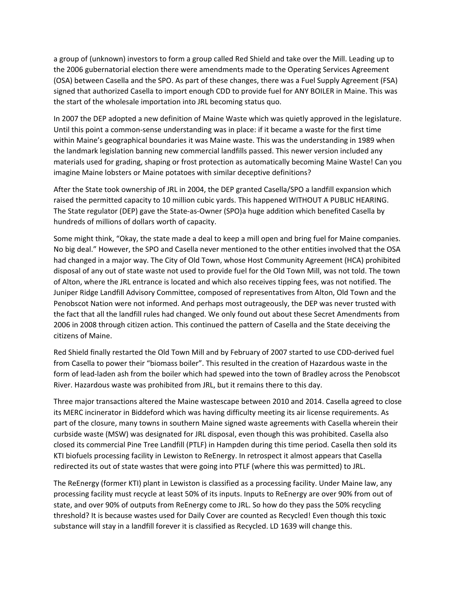a group of (unknown) investors to form a group called Red Shield and take over the Mill. Leading up to the 2006 gubernatorial election there were amendments made to the Operating Services Agreement (OSA) between Casella and the SPO. As part of these changes, there was a Fuel Supply Agreement (FSA) signed that authorized Casella to import enough CDD to provide fuel for ANY BOILER in Maine. This was the start of the wholesale importation into JRL becoming status quo.

In 2007 the DEP adopted a new definition of Maine Waste which was quietly approved in the legislature. Until this point a common-sense understanding was in place: if it became a waste for the first time within Maine's geographical boundaries it was Maine waste. This was the understanding in 1989 when the landmark legislation banning new commercial landfills passed. This newer version included any materials used for grading, shaping or frost protection as automatically becoming Maine Waste! Can you imagine Maine lobsters or Maine potatoes with similar deceptive definitions?

After the State took ownership of JRL in 2004, the DEP granted Casella/SPO a landfill expansion which raised the permitted capacity to 10 million cubic yards. This happened WITHOUT A PUBLIC HEARING. The State regulator (DEP) gave the State-as-Owner (SPO)a huge addition which benefited Casella by hundreds of millions of dollars worth of capacity.

Some might think, "Okay, the state made a deal to keep a mill open and bring fuel for Maine companies. No big deal." However, the SPO and Casella never mentioned to the other entities involved that the OSA had changed in a major way. The City of Old Town, whose Host Community Agreement (HCA) prohibited disposal of any out of state waste not used to provide fuel for the Old Town Mill, was not told. The town of Alton, where the JRL entrance is located and which also receives tipping fees, was not notified. The Juniper Ridge Landfill Advisory Committee, composed of representatives from Alton, Old Town and the Penobscot Nation were not informed. And perhaps most outrageously, the DEP was never trusted with the fact that all the landfill rules had changed. We only found out about these Secret Amendments from 2006 in 2008 through citizen action. This continued the pattern of Casella and the State deceiving the citizens of Maine.

Red Shield finally restarted the Old Town Mill and by February of 2007 started to use CDD-derived fuel from Casella to power their "biomass boiler". This resulted in the creation of Hazardous waste in the form of lead-laden ash from the boiler which had spewed into the town of Bradley across the Penobscot River. Hazardous waste was prohibited from JRL, but it remains there to this day.

Three major transactions altered the Maine wastescape between 2010 and 2014. Casella agreed to close its MERC incinerator in Biddeford which was having difficulty meeting its air license requirements. As part of the closure, many towns in southern Maine signed waste agreements with Casella wherein their curbside waste (MSW) was designated for JRL disposal, even though this was prohibited. Casella also closed its commercial Pine Tree Landfill (PTLF) in Hampden during this time period. Casella then sold its KTI biofuels processing facility in Lewiston to ReEnergy. In retrospect it almost appears that Casella redirected its out of state wastes that were going into PTLF (where this was permitted) to JRL.

The ReEnergy (former KTI) plant in Lewiston is classified as a processing facility. Under Maine law, any processing facility must recycle at least 50% of its inputs. Inputs to ReEnergy are over 90% from out of state, and over 90% of outputs from ReEnergy come to JRL. So how do they pass the 50% recycling threshold? It is because wastes used for Daily Cover are counted as Recycled! Even though this toxic substance will stay in a landfill forever it is classified as Recycled. LD 1639 will change this.